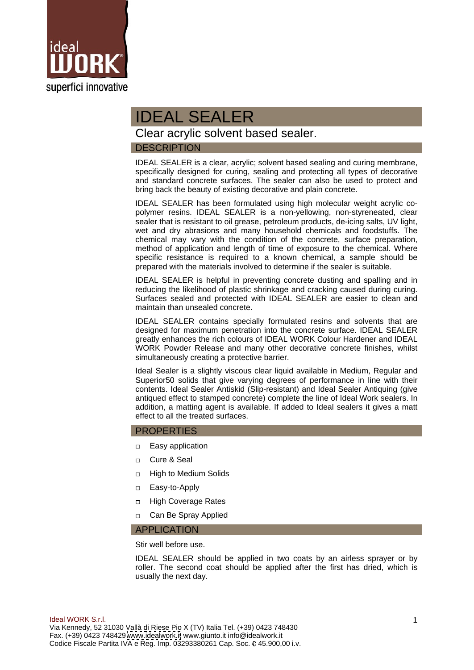

# IDEAL SEALER

Clear acrylic solvent based sealer.

# DESCRIPTION

IDEAL SEALER is a clear, acrylic; solvent based sealing and curing membrane, specifically designed for curing, sealing and protecting all types of decorative and standard concrete surfaces. The sealer can also be used to protect and bring back the beauty of existing decorative and plain concrete.

IDEAL SEALER has been formulated using high molecular weight acrylic co polymer resins. IDEAL SEALER is a non-yellowing, non-styreneated, clear sealer that is resistant to oil grease, petroleum products, de-icing salts, UV light, wet and dry abrasions and many household chemicals and foodstuffs. The chemical may vary with the condition of the concrete, surface preparation, method of application and length of time of exposure to the chemical. Where specific resistance is required to a known chemical, a sample should be prepared with the materials involved to determine if the sealer is suitable.

IDEAL SEALER is helpful in preventing concrete dusting and spalling and in reducing the likelihood of plastic shrinkage and cracking caused during curing. Surfaces sealed and protected with IDEAL SEALER are easier to clean and maintain than unsealed concrete.

IDEAL SEALER contains specially formulated resins and solvents that are designed for maximum penetration into the concrete surface. IDEAL SEALER greatly enhances the rich colours of IDEAL WORK Colour Hardener and IDEAL WORK Powder Release and many other decorative concrete finishes, whilst simultaneously creating a protective barrier.

Ideal Sealer is a slightly viscous clear liquid available in Medium, Regular and Superior50 solids that give varying degrees of performance in line with their contents. Ideal Sealer Antiskid (Slip-resistant) and Ideal Sealer Antiquing (give antiqued effect to stamped concrete) complete the line of Ideal Work sealers. In addition, a matting agent is available. If added to Ideal sealers it gives a matt effect to all the treated surfaces.

## PROPERTIES

- $\Box$ Easy application
- $\Box$ Cure & Seal
- High to Medium Solids  $\Box$
- $\Box$ Easy-to-Apply
- $\Box$ High Coverage Rates
- Can Be Spray Applied APPLICATION

Stir well before use.

IDEAL SEALER should be applied in two coats by an airless sprayer or by roller. The second coat should be applied after the first has dried, which is usually the next day.